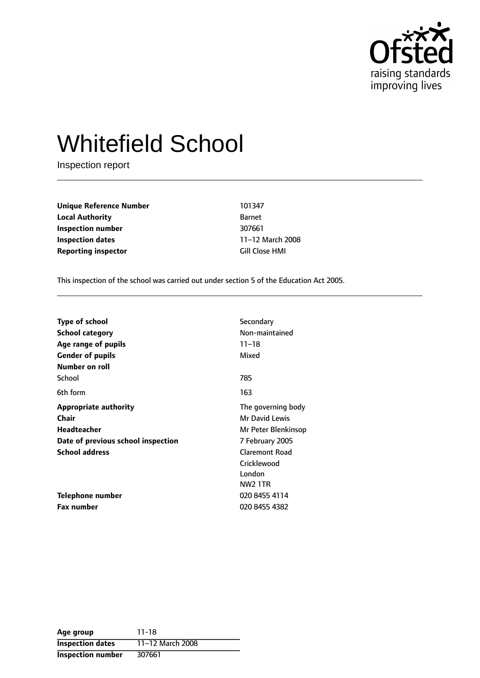

# Whitefield School

Inspection report

**Unique Reference Number** 101347 **Local Authority** Barnet **Inspection number** 307661 **Inspection dates** 11-12 March 2008 **Reporting inspector Cill Close HMI** 

This inspection of the school was carried out under section 5 of the Education Act 2005.

| <b>Type of school</b>              | Secondary             |
|------------------------------------|-----------------------|
| <b>School category</b>             | Non-maintained        |
| Age range of pupils                | $11 - 18$             |
| <b>Gender of pupils</b>            | Mixed                 |
| Number on roll                     |                       |
| School                             | 785                   |
| 6th form                           | 163                   |
| <b>Appropriate authority</b>       | The governing body    |
| Chair                              | Mr David Lewis        |
| Headteacher                        | Mr Peter Blenkinsop   |
| Date of previous school inspection | 7 February 2005       |
| <b>School address</b>              | <b>Claremont Road</b> |
|                                    | Cricklewood           |
|                                    | London                |
|                                    | <b>NW2 1TR</b>        |
| Telephone number                   | 020 8455 4114         |
| <b>Fax number</b>                  | 020 8455 4382         |

| Age group                | 11-18            |
|--------------------------|------------------|
| <b>Inspection dates</b>  | 11-12 March 2008 |
| <b>Inspection number</b> | 307661           |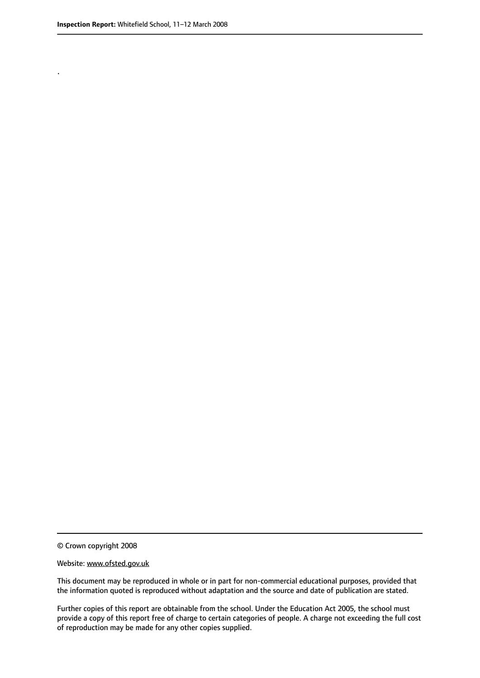.

© Crown copyright 2008

#### Website: www.ofsted.gov.uk

This document may be reproduced in whole or in part for non-commercial educational purposes, provided that the information quoted is reproduced without adaptation and the source and date of publication are stated.

Further copies of this report are obtainable from the school. Under the Education Act 2005, the school must provide a copy of this report free of charge to certain categories of people. A charge not exceeding the full cost of reproduction may be made for any other copies supplied.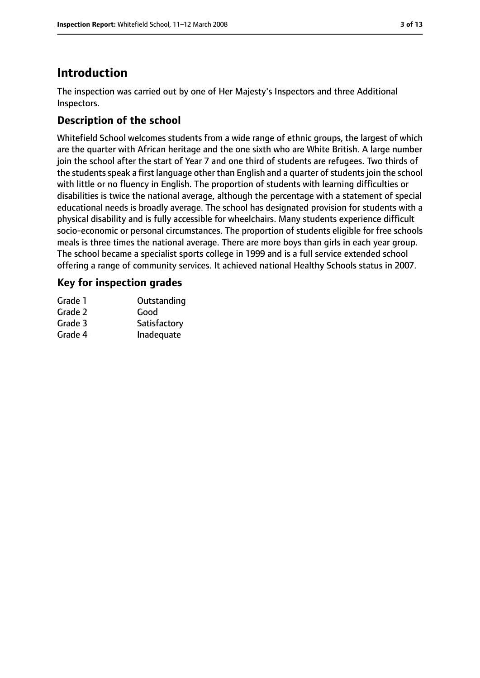# **Introduction**

The inspection was carried out by one of Her Majesty's Inspectors and three Additional Inspectors.

# **Description of the school**

Whitefield School welcomes students from a wide range of ethnic groups, the largest of which are the quarter with African heritage and the one sixth who are White British. A large number join the school after the start of Year 7 and one third of students are refugees. Two thirds of the students speak a first language other than English and a quarter of students join the school with little or no fluency in English. The proportion of students with learning difficulties or disabilities is twice the national average, although the percentage with a statement of special educational needs is broadly average. The school has designated provision for students with a physical disability and is fully accessible for wheelchairs. Many students experience difficult socio-economic or personal circumstances. The proportion of students eligible for free schools meals is three times the national average. There are more boys than girls in each year group. The school became a specialist sports college in 1999 and is a full service extended school offering a range of community services. It achieved national Healthy Schools status in 2007.

# **Key for inspection grades**

| Grade 1 | Outstanding  |
|---------|--------------|
| Grade 2 | Good         |
| Grade 3 | Satisfactory |
| Grade 4 | Inadequate   |
|         |              |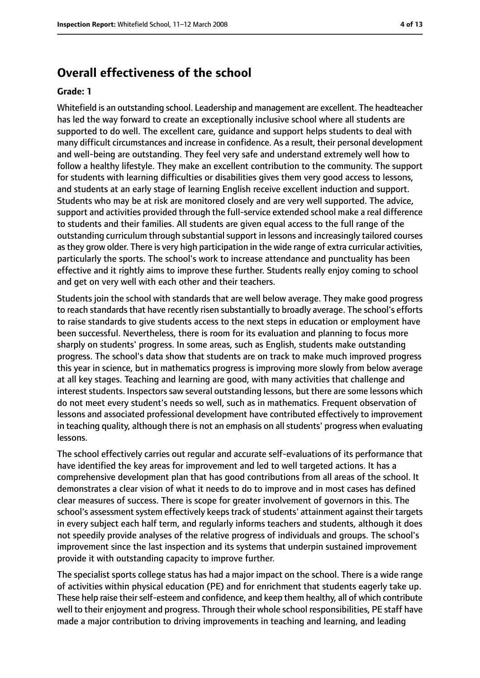# **Overall effectiveness of the school**

#### **Grade: 1**

Whitefield is an outstanding school. Leadership and management are excellent. The headteacher has led the way forward to create an exceptionally inclusive school where all students are supported to do well. The excellent care, guidance and support helps students to deal with many difficult circumstances and increase in confidence. As a result, their personal development and well-being are outstanding. They feel very safe and understand extremely well how to follow a healthy lifestyle. They make an excellent contribution to the community. The support for students with learning difficulties or disabilities gives them very good access to lessons, and students at an early stage of learning English receive excellent induction and support. Students who may be at risk are monitored closely and are very well supported. The advice, support and activities provided through the full-service extended school make a real difference to students and their families. All students are given equal access to the full range of the outstanding curriculum through substantial support in lessons and increasingly tailored courses asthey grow older. There is very high participation in the wide range of extra curricular activities, particularly the sports. The school's work to increase attendance and punctuality has been effective and it rightly aims to improve these further. Students really enjoy coming to school and get on very well with each other and their teachers.

Students join the school with standards that are well below average. They make good progress to reach standards that have recently risen substantially to broadly average. The school's efforts to raise standards to give students access to the next steps in education or employment have been successful. Nevertheless, there is room for its evaluation and planning to focus more sharply on students' progress. In some areas, such as English, students make outstanding progress. The school's data show that students are on track to make much improved progress this year in science, but in mathematics progress is improving more slowly from below average at all key stages. Teaching and learning are good, with many activities that challenge and interest students. Inspectors saw several outstanding lessons, but there are some lessons which do not meet every student's needs so well, such as in mathematics. Frequent observation of lessons and associated professional development have contributed effectively to improvement in teaching quality, although there is not an emphasis on all students' progress when evaluating lessons.

The school effectively carries out regular and accurate self-evaluations of its performance that have identified the key areas for improvement and led to well targeted actions. It has a comprehensive development plan that has good contributions from all areas of the school. It demonstrates a clear vision of what it needs to do to improve and in most cases has defined clear measures of success. There is scope for greater involvement of governors in this. The school's assessment system effectively keeps track of students' attainment against their targets in every subject each half term, and regularly informs teachers and students, although it does not speedily provide analyses of the relative progress of individuals and groups. The school's improvement since the last inspection and its systems that underpin sustained improvement provide it with outstanding capacity to improve further.

The specialist sports college status has had a major impact on the school. There is a wide range of activities within physical education (PE) and for enrichment that students eagerly take up. These help raise their self-esteem and confidence, and keep them healthy, all of which contribute well to their enjoyment and progress. Through their whole school responsibilities, PE staff have made a major contribution to driving improvements in teaching and learning, and leading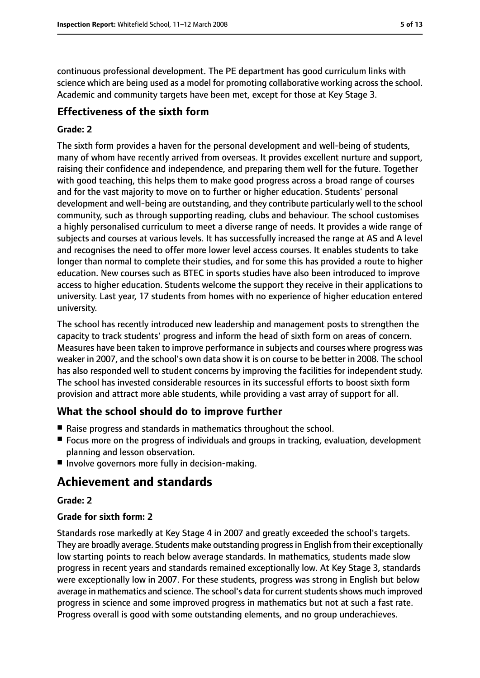continuous professional development. The PE department has good curriculum links with science which are being used as a model for promoting collaborative working across the school. Academic and community targets have been met, except for those at Key Stage 3.

# **Effectiveness of the sixth form**

#### **Grade: 2**

The sixth form provides a haven for the personal development and well-being of students, many of whom have recently arrived from overseas. It provides excellent nurture and support, raising their confidence and independence, and preparing them well for the future. Together with good teaching, this helps them to make good progress across a broad range of courses and for the vast majority to move on to further or higher education. Students' personal development and well-being are outstanding, and they contribute particularly well to the school community, such as through supporting reading, clubs and behaviour. The school customises a highly personalised curriculum to meet a diverse range of needs. It provides a wide range of subjects and courses at various levels. It has successfully increased the range at AS and A level and recognises the need to offer more lower level access courses. It enables students to take longer than normal to complete their studies, and for some this has provided a route to higher education. New courses such as BTEC in sports studies have also been introduced to improve access to higher education. Students welcome the support they receive in their applications to university. Last year, 17 students from homes with no experience of higher education entered university.

The school has recently introduced new leadership and management posts to strengthen the capacity to track students' progress and inform the head of sixth form on areas of concern. Measures have been taken to improve performance in subjects and courses where progress was weaker in 2007, and the school's own data show it is on course to be better in 2008. The school has also responded well to student concerns by improving the facilities for independent study. The school has invested considerable resources in its successful efforts to boost sixth form provision and attract more able students, while providing a vast array of support for all.

# **What the school should do to improve further**

- Raise progress and standards in mathematics throughout the school.
- Focus more on the progress of individuals and groups in tracking, evaluation, development planning and lesson observation.
- Involve governors more fully in decision-making.

# **Achievement and standards**

#### **Grade: 2**

#### **Grade for sixth form: 2**

Standards rose markedly at Key Stage 4 in 2007 and greatly exceeded the school's targets. They are broadly average. Students make outstanding progressin English from their exceptionally low starting points to reach below average standards. In mathematics, students made slow progress in recent years and standards remained exceptionally low. At Key Stage 3, standards were exceptionally low in 2007. For these students, progress was strong in English but below average in mathematics and science. The school's data for current students shows much improved progress in science and some improved progress in mathematics but not at such a fast rate. Progress overall is good with some outstanding elements, and no group underachieves.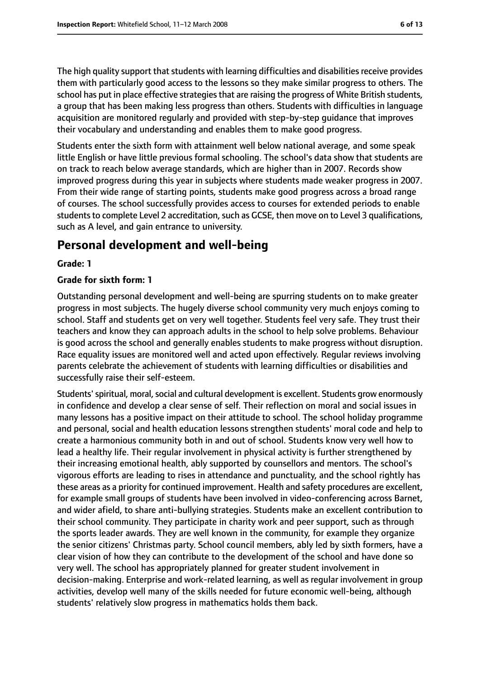The high quality support that students with learning difficulties and disabilities receive provides them with particularly good access to the lessons so they make similar progress to others. The school has put in place effective strategiesthat are raising the progress of White British students, a group that has been making less progress than others. Students with difficulties in language acquisition are monitored regularly and provided with step-by-step guidance that improves their vocabulary and understanding and enables them to make good progress.

Students enter the sixth form with attainment well below national average, and some speak little English or have little previous formal schooling. The school's data show that students are on track to reach below average standards, which are higher than in 2007. Records show improved progress during this year in subjects where students made weaker progress in 2007. From their wide range of starting points, students make good progress across a broad range of courses. The school successfully provides access to courses for extended periods to enable students to complete Level 2 accreditation, such as GCSE, then move on to Level 3 qualifications, such as A level, and gain entrance to university.

# **Personal development and well-being**

#### **Grade: 1**

#### **Grade for sixth form: 1**

Outstanding personal development and well-being are spurring students on to make greater progress in most subjects. The hugely diverse school community very much enjoys coming to school. Staff and students get on very well together. Students feel very safe. They trust their teachers and know they can approach adults in the school to help solve problems. Behaviour is good across the school and generally enables students to make progress without disruption. Race equality issues are monitored well and acted upon effectively. Regular reviews involving parents celebrate the achievement of students with learning difficulties or disabilities and successfully raise their self-esteem.

Students' spiritual, moral, social and cultural development is excellent. Students grow enormously in confidence and develop a clear sense of self. Their reflection on moral and social issues in many lessons has a positive impact on their attitude to school. The school holiday programme and personal, social and health education lessons strengthen students' moral code and help to create a harmonious community both in and out of school. Students know very well how to lead a healthy life. Their regular involvement in physical activity is further strengthened by their increasing emotional health, ably supported by counsellors and mentors. The school's vigorous efforts are leading to rises in attendance and punctuality, and the school rightly has these areas as a priority for continued improvement. Health and safety procedures are excellent, for example small groups of students have been involved in video-conferencing across Barnet, and wider afield, to share anti-bullying strategies. Students make an excellent contribution to their school community. They participate in charity work and peer support, such as through the sports leader awards. They are well known in the community, for example they organize the senior citizens' Christmas party. School council members, ably led by sixth formers, have a clear vision of how they can contribute to the development of the school and have done so very well. The school has appropriately planned for greater student involvement in decision-making. Enterprise and work-related learning, as well as regular involvement in group activities, develop well many of the skills needed for future economic well-being, although students' relatively slow progress in mathematics holds them back.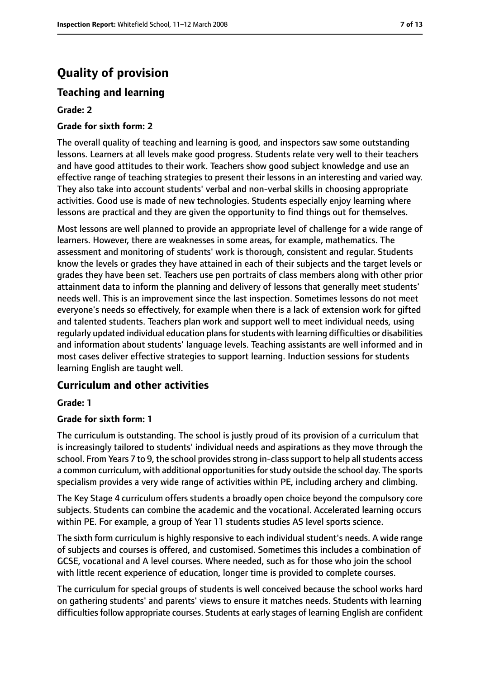# **Quality of provision**

# **Teaching and learning**

#### **Grade: 2**

#### **Grade for sixth form: 2**

The overall quality of teaching and learning is good, and inspectors saw some outstanding lessons. Learners at all levels make good progress. Students relate very well to their teachers and have good attitudes to their work. Teachers show good subject knowledge and use an effective range of teaching strategies to present their lessons in an interesting and varied way. They also take into account students' verbal and non-verbal skills in choosing appropriate activities. Good use is made of new technologies. Students especially enjoy learning where lessons are practical and they are given the opportunity to find things out for themselves.

Most lessons are well planned to provide an appropriate level of challenge for a wide range of learners. However, there are weaknesses in some areas, for example, mathematics. The assessment and monitoring of students' work is thorough, consistent and regular. Students know the levels or grades they have attained in each of their subjects and the target levels or grades they have been set. Teachers use pen portraits of class members along with other prior attainment data to inform the planning and delivery of lessons that generally meet students' needs well. This is an improvement since the last inspection. Sometimes lessons do not meet everyone's needs so effectively, for example when there is a lack of extension work for gifted and talented students. Teachers plan work and support well to meet individual needs, using regularly updated individual education plans for students with learning difficulties or disabilities and information about students' language levels. Teaching assistants are well informed and in most cases deliver effective strategies to support learning. Induction sessions for students learning English are taught well.

### **Curriculum and other activities**

#### **Grade: 1**

#### **Grade for sixth form: 1**

The curriculum is outstanding. The school is justly proud of its provision of a curriculum that is increasingly tailored to students' individual needs and aspirations as they move through the school. From Years 7 to 9, the school provides strong in-class support to help all students access a common curriculum, with additional opportunities for study outside the school day. The sports specialism provides a very wide range of activities within PE, including archery and climbing.

The Key Stage 4 curriculum offers students a broadly open choice beyond the compulsory core subjects. Students can combine the academic and the vocational. Accelerated learning occurs within PE. For example, a group of Year 11 students studies AS level sports science.

The sixth form curriculum is highly responsive to each individual student's needs. A wide range of subjects and courses is offered, and customised. Sometimes this includes a combination of GCSE, vocational and A level courses. Where needed, such as for those who join the school with little recent experience of education, longer time is provided to complete courses.

The curriculum for special groups of students is well conceived because the school works hard on gathering students' and parents' views to ensure it matches needs. Students with learning difficulties follow appropriate courses. Students at early stages of learning English are confident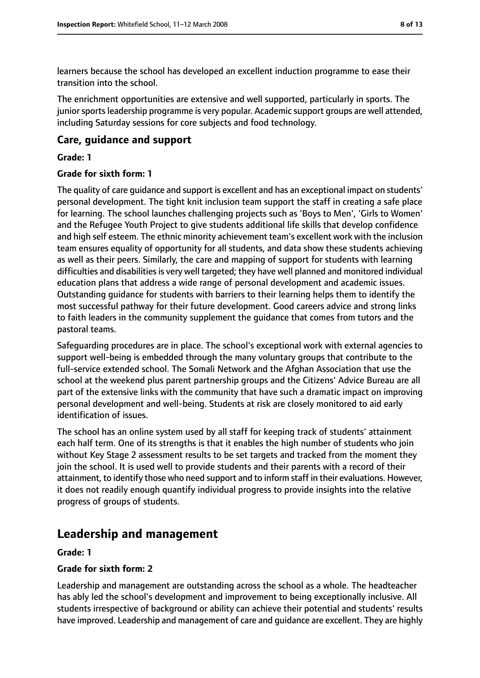learners because the school has developed an excellent induction programme to ease their transition into the school.

The enrichment opportunities are extensive and well supported, particularly in sports. The junior sports leadership programme is very popular. Academic support groups are well attended, including Saturday sessions for core subjects and food technology.

### **Care, guidance and support**

#### **Grade: 1**

#### **Grade for sixth form: 1**

The quality of care guidance and support is excellent and has an exceptional impact on students' personal development. The tight knit inclusion team support the staff in creating a safe place for learning. The school launches challenging projects such as 'Boys to Men', 'Girls to Women' and the Refugee Youth Project to give students additional life skills that develop confidence and high self esteem. The ethnic minority achievement team's excellent work with the inclusion team ensures equality of opportunity for all students, and data show these students achieving as well as their peers. Similarly, the care and mapping of support for students with learning difficulties and disabilities is very well targeted; they have well planned and monitored individual education plans that address a wide range of personal development and academic issues. Outstanding guidance for students with barriers to their learning helps them to identify the most successful pathway for their future development. Good careers advice and strong links to faith leaders in the community supplement the guidance that comes from tutors and the pastoral teams.

Safeguarding procedures are in place. The school's exceptional work with external agencies to support well-being is embedded through the many voluntary groups that contribute to the full-service extended school. The Somali Network and the Afghan Association that use the school at the weekend plus parent partnership groups and the Citizens' Advice Bureau are all part of the extensive links with the community that have such a dramatic impact on improving personal development and well-being. Students at risk are closely monitored to aid early identification of issues.

The school has an online system used by all staff for keeping track of students' attainment each half term. One of its strengths is that it enables the high number of students who join without Key Stage 2 assessment results to be set targets and tracked from the moment they join the school. It is used well to provide students and their parents with a record of their attainment, to identify those who need support and to inform staff in their evaluations. However, it does not readily enough quantify individual progress to provide insights into the relative progress of groups of students.

# **Leadership and management**

#### **Grade: 1**

#### **Grade for sixth form: 2**

Leadership and management are outstanding across the school as a whole. The headteacher has ably led the school's development and improvement to being exceptionally inclusive. All students irrespective of background or ability can achieve their potential and students' results have improved. Leadership and management of care and guidance are excellent. They are highly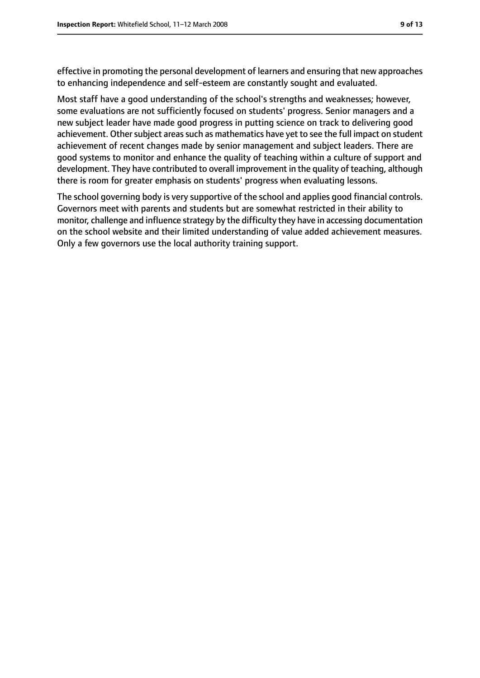effective in promoting the personal development of learners and ensuring that new approaches to enhancing independence and self-esteem are constantly sought and evaluated.

Most staff have a good understanding of the school's strengths and weaknesses; however, some evaluations are not sufficiently focused on students' progress. Senior managers and a new subject leader have made good progress in putting science on track to delivering good achievement. Other subject areas such as mathematics have yet to see the full impact on student achievement of recent changes made by senior management and subject leaders. There are good systems to monitor and enhance the quality of teaching within a culture of support and development. They have contributed to overall improvement in the quality of teaching, although there is room for greater emphasis on students' progress when evaluating lessons.

The school governing body is very supportive of the school and applies good financial controls. Governors meet with parents and students but are somewhat restricted in their ability to monitor, challenge and influence strategy by the difficulty they have in accessing documentation on the school website and their limited understanding of value added achievement measures. Only a few governors use the local authority training support.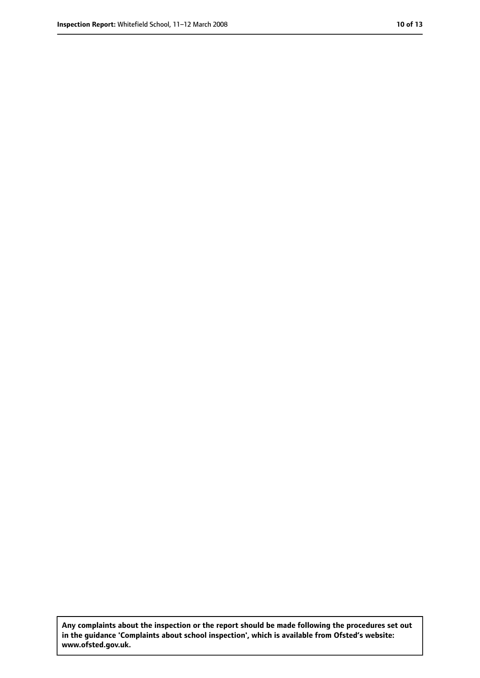**Any complaints about the inspection or the report should be made following the procedures set out in the guidance 'Complaints about school inspection', which is available from Ofsted's website: www.ofsted.gov.uk.**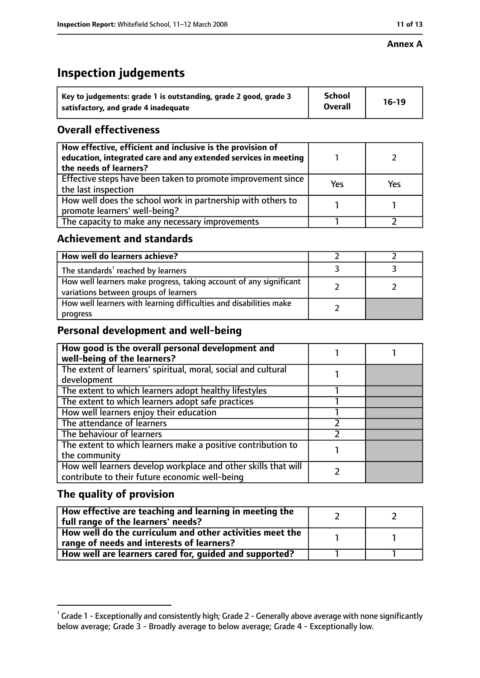#### **Annex A**

# **Inspection judgements**

| Key to judgements: grade 1 is outstanding, grade 2 good, grade 3 | <b>School</b>  | $16-19$ |
|------------------------------------------------------------------|----------------|---------|
| satisfactory, and grade 4 inadequate                             | <b>Overall</b> |         |

# **Overall effectiveness**

| How effective, efficient and inclusive is the provision of<br>education, integrated care and any extended services in meeting<br>the needs of learners? |     |     |
|---------------------------------------------------------------------------------------------------------------------------------------------------------|-----|-----|
| Effective steps have been taken to promote improvement since<br>the last inspection                                                                     | Yes | Yes |
| How well does the school work in partnership with others to<br>promote learners' well-being?                                                            |     |     |
| The capacity to make any necessary improvements                                                                                                         |     |     |

# **Achievement and standards**

| How well do learners achieve?                                                                               |  |
|-------------------------------------------------------------------------------------------------------------|--|
| The standards <sup>1</sup> reached by learners                                                              |  |
| How well learners make progress, taking account of any significant<br>variations between groups of learners |  |
| How well learners with learning difficulties and disabilities make<br>progress                              |  |

# **Personal development and well-being**

| How good is the overall personal development and<br>well-being of the learners?                                  |  |
|------------------------------------------------------------------------------------------------------------------|--|
| The extent of learners' spiritual, moral, social and cultural                                                    |  |
| development                                                                                                      |  |
| The extent to which learners adopt healthy lifestyles                                                            |  |
| The extent to which learners adopt safe practices                                                                |  |
| How well learners enjoy their education                                                                          |  |
| The attendance of learners                                                                                       |  |
| The behaviour of learners                                                                                        |  |
| The extent to which learners make a positive contribution to                                                     |  |
| the community                                                                                                    |  |
| How well learners develop workplace and other skills that will<br>contribute to their future economic well-being |  |
|                                                                                                                  |  |

# **The quality of provision**

| How effective are teaching and learning in meeting the<br>full range of the learners' needs?          |  |
|-------------------------------------------------------------------------------------------------------|--|
| How well do the curriculum and other activities meet the<br>range of needs and interests of learners? |  |
| How well are learners cared for, guided and supported?                                                |  |

 $^1$  Grade 1 - Exceptionally and consistently high; Grade 2 - Generally above average with none significantly below average; Grade 3 - Broadly average to below average; Grade 4 - Exceptionally low.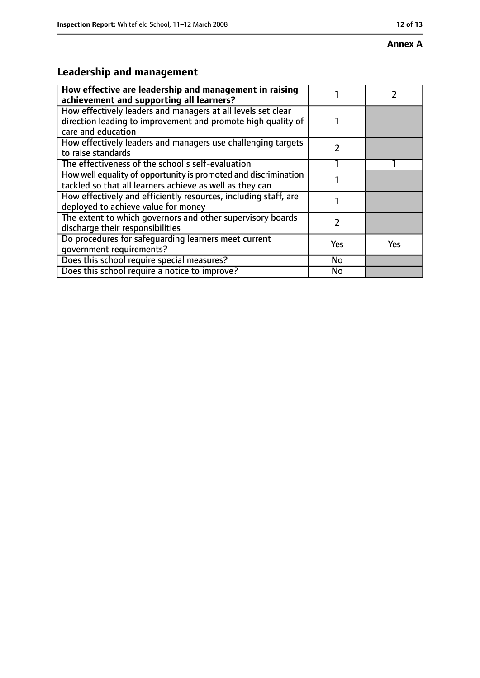#### **Annex A**

# **Leadership and management**

| How effective are leadership and management in raising                                                                                             |     |            |
|----------------------------------------------------------------------------------------------------------------------------------------------------|-----|------------|
| achievement and supporting all learners?                                                                                                           |     |            |
| How effectively leaders and managers at all levels set clear<br>direction leading to improvement and promote high quality of<br>care and education |     |            |
| How effectively leaders and managers use challenging targets<br>to raise standards                                                                 | 7   |            |
| The effectiveness of the school's self-evaluation                                                                                                  |     |            |
| How well equality of opportunity is promoted and discrimination<br>tackled so that all learners achieve as well as they can                        |     |            |
| How effectively and efficiently resources, including staff, are<br>deployed to achieve value for money                                             |     |            |
| The extent to which governors and other supervisory boards<br>discharge their responsibilities                                                     | 2   |            |
| Do procedures for safeguarding learners meet current<br>qovernment requirements?                                                                   | Yes | <b>Yes</b> |
| Does this school require special measures?                                                                                                         | No  |            |
| Does this school require a notice to improve?                                                                                                      | No  |            |